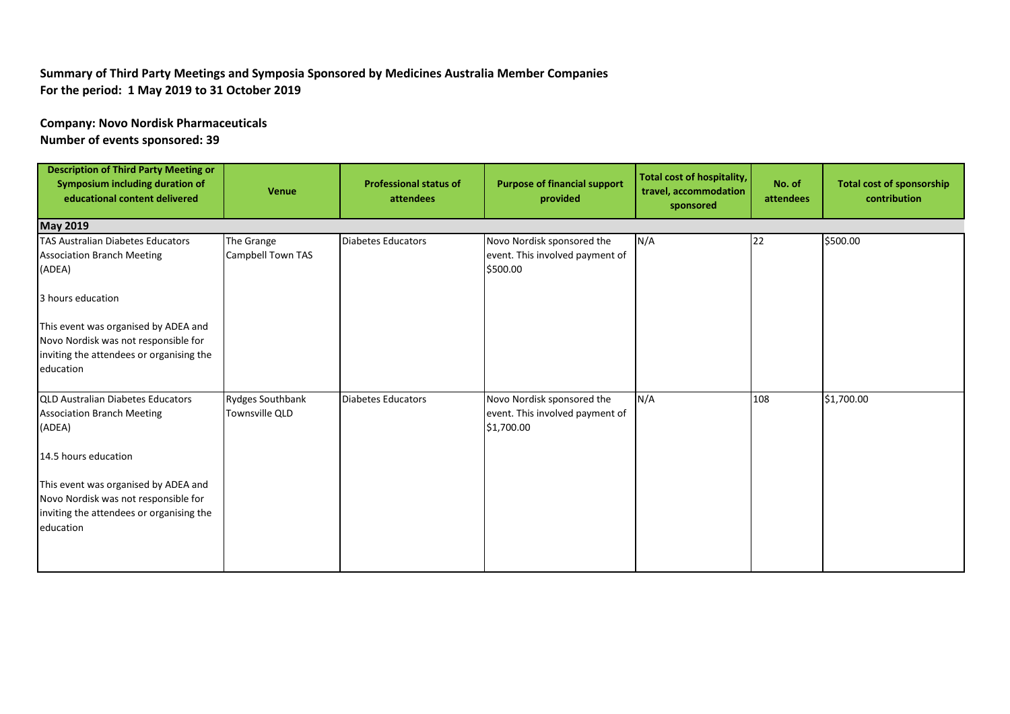## **Summary of Third Party Meetings and Symposia Sponsored by Medicines Australia Member Companies For the period: 1 May 2019 to 31 October 2019**

## **Company: Novo Nordisk Pharmaceuticals**

**Number of events sponsored: 39**

| <b>Description of Third Party Meeting or</b><br>Symposium including duration of<br>educational content delivered | <b>Venue</b>      | <b>Professional status of</b><br>attendees | <b>Purpose of financial support</b><br>provided | Total cost of hospitality,<br>travel, accommodation<br>sponsored | No. of<br>attendees | <b>Total cost of sponsorship</b><br>contribution |  |  |
|------------------------------------------------------------------------------------------------------------------|-------------------|--------------------------------------------|-------------------------------------------------|------------------------------------------------------------------|---------------------|--------------------------------------------------|--|--|
| <b>May 2019</b>                                                                                                  |                   |                                            |                                                 |                                                                  |                     |                                                  |  |  |
| <b>TAS Australian Diabetes Educators</b>                                                                         | The Grange        | Diabetes Educators                         | Novo Nordisk sponsored the                      | N/A                                                              | 22                  | \$500.00                                         |  |  |
| <b>Association Branch Meeting</b><br>(ADEA)                                                                      | Campbell Town TAS |                                            | event. This involved payment of<br>\$500.00     |                                                                  |                     |                                                  |  |  |
| 3 hours education                                                                                                |                   |                                            |                                                 |                                                                  |                     |                                                  |  |  |
| This event was organised by ADEA and                                                                             |                   |                                            |                                                 |                                                                  |                     |                                                  |  |  |
| Novo Nordisk was not responsible for                                                                             |                   |                                            |                                                 |                                                                  |                     |                                                  |  |  |
| inviting the attendees or organising the                                                                         |                   |                                            |                                                 |                                                                  |                     |                                                  |  |  |
| education                                                                                                        |                   |                                            |                                                 |                                                                  |                     |                                                  |  |  |
| <b>QLD Australian Diabetes Educators</b>                                                                         | Rydges Southbank  | Diabetes Educators                         | Novo Nordisk sponsored the                      | N/A                                                              | 108                 | \$1,700.00                                       |  |  |
| <b>Association Branch Meeting</b>                                                                                | Townsville QLD    |                                            | event. This involved payment of                 |                                                                  |                     |                                                  |  |  |
| (ADEA)                                                                                                           |                   |                                            | \$1,700.00                                      |                                                                  |                     |                                                  |  |  |
| 14.5 hours education                                                                                             |                   |                                            |                                                 |                                                                  |                     |                                                  |  |  |
| This event was organised by ADEA and                                                                             |                   |                                            |                                                 |                                                                  |                     |                                                  |  |  |
| Novo Nordisk was not responsible for                                                                             |                   |                                            |                                                 |                                                                  |                     |                                                  |  |  |
| inviting the attendees or organising the                                                                         |                   |                                            |                                                 |                                                                  |                     |                                                  |  |  |
| education                                                                                                        |                   |                                            |                                                 |                                                                  |                     |                                                  |  |  |
|                                                                                                                  |                   |                                            |                                                 |                                                                  |                     |                                                  |  |  |
|                                                                                                                  |                   |                                            |                                                 |                                                                  |                     |                                                  |  |  |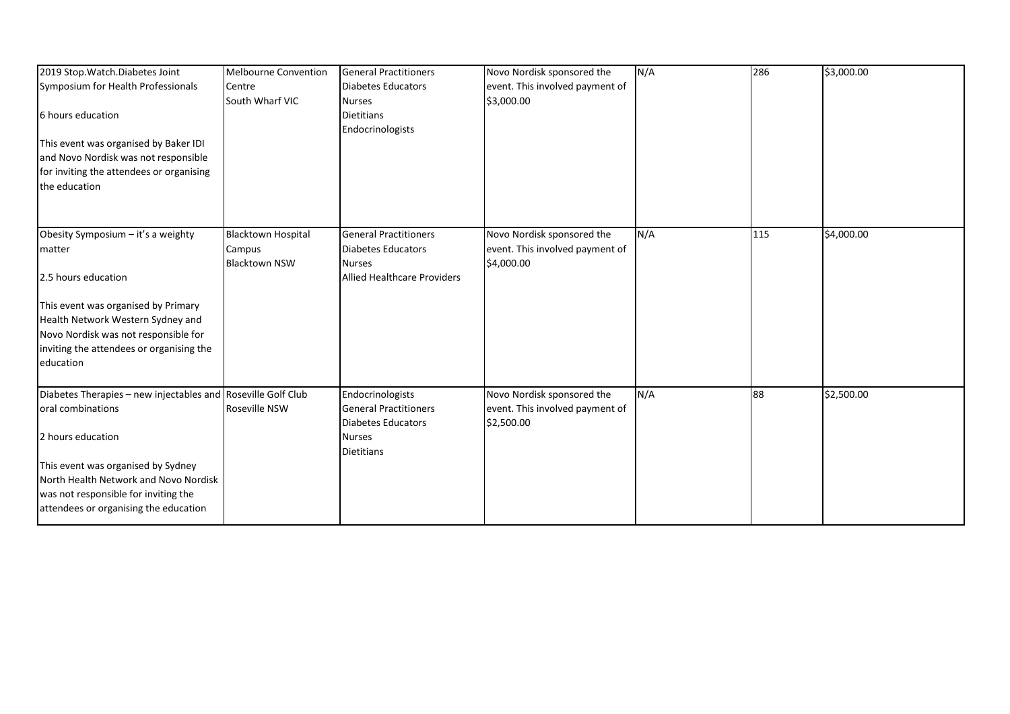| 2019 Stop. Watch. Diabetes Joint<br>Symposium for Health Professionals<br>6 hours education<br>This event was organised by Baker IDI<br>and Novo Nordisk was not responsible<br>for inviting the attendees or organising<br>the education | <b>Melbourne Convention</b><br>Centre<br>South Wharf VIC    | <b>General Practitioners</b><br><b>Diabetes Educators</b><br><b>Nurses</b><br><b>Dietitians</b><br>Endocrinologists | Novo Nordisk sponsored the<br>event. This involved payment of<br>\$3,000.00 | N/A | 286 | \$3,000.00 |
|-------------------------------------------------------------------------------------------------------------------------------------------------------------------------------------------------------------------------------------------|-------------------------------------------------------------|---------------------------------------------------------------------------------------------------------------------|-----------------------------------------------------------------------------|-----|-----|------------|
|                                                                                                                                                                                                                                           |                                                             |                                                                                                                     |                                                                             |     |     |            |
| Obesity Symposium - it's a weighty<br>matter                                                                                                                                                                                              | <b>Blacktown Hospital</b><br>Campus<br><b>Blacktown NSW</b> | <b>General Practitioners</b><br><b>Diabetes Educators</b><br><b>Nurses</b>                                          | Novo Nordisk sponsored the<br>event. This involved payment of<br>\$4,000.00 | N/A | 115 | \$4,000.00 |
| 2.5 hours education                                                                                                                                                                                                                       |                                                             | <b>Allied Healthcare Providers</b>                                                                                  |                                                                             |     |     |            |
| This event was organised by Primary                                                                                                                                                                                                       |                                                             |                                                                                                                     |                                                                             |     |     |            |
| Health Network Western Sydney and<br>Novo Nordisk was not responsible for                                                                                                                                                                 |                                                             |                                                                                                                     |                                                                             |     |     |            |
| inviting the attendees or organising the<br>education                                                                                                                                                                                     |                                                             |                                                                                                                     |                                                                             |     |     |            |
| Diabetes Therapies - new injectables and Roseville Golf Club                                                                                                                                                                              |                                                             | Endocrinologists                                                                                                    | Novo Nordisk sponsored the                                                  | N/A | 88  | \$2,500.00 |
| oral combinations                                                                                                                                                                                                                         | Roseville NSW                                               | <b>General Practitioners</b><br><b>Diabetes Educators</b>                                                           | event. This involved payment of<br>\$2,500.00                               |     |     |            |
| 2 hours education                                                                                                                                                                                                                         |                                                             | <b>Nurses</b><br><b>Dietitians</b>                                                                                  |                                                                             |     |     |            |
| This event was organised by Sydney                                                                                                                                                                                                        |                                                             |                                                                                                                     |                                                                             |     |     |            |
| North Health Network and Novo Nordisk<br>was not responsible for inviting the                                                                                                                                                             |                                                             |                                                                                                                     |                                                                             |     |     |            |
| attendees or organising the education                                                                                                                                                                                                     |                                                             |                                                                                                                     |                                                                             |     |     |            |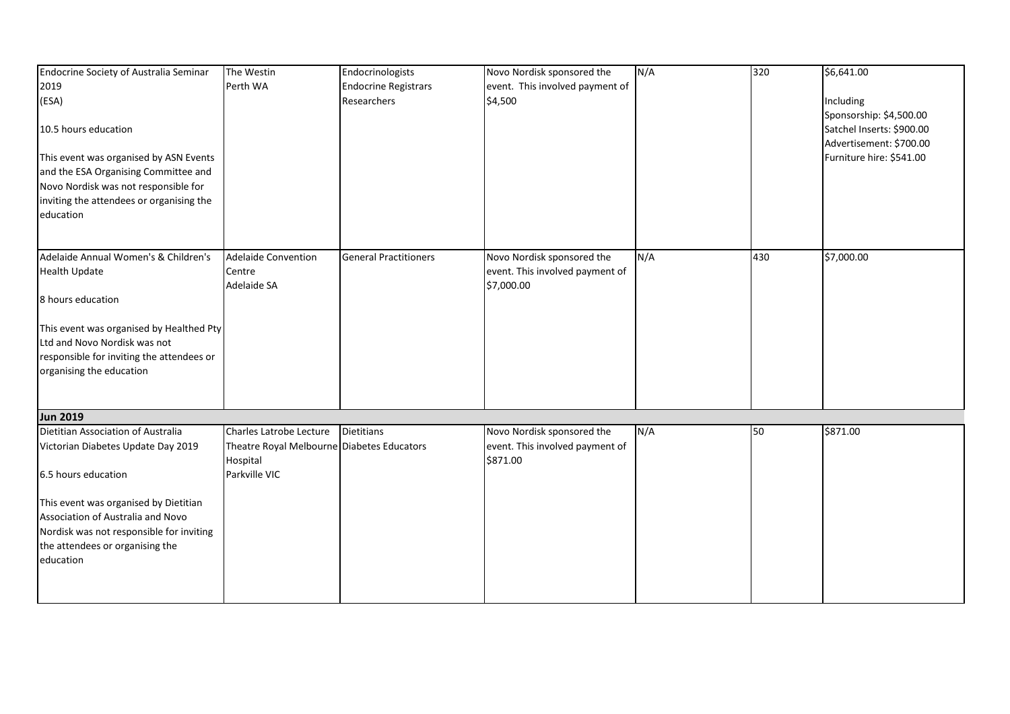| Endocrine Society of Australia Seminar    | The Westin                                 | Endocrinologists             | Novo Nordisk sponsored the      | N/A | 320 | \$6,641.00                |
|-------------------------------------------|--------------------------------------------|------------------------------|---------------------------------|-----|-----|---------------------------|
| 2019                                      | Perth WA                                   | <b>Endocrine Registrars</b>  | event. This involved payment of |     |     |                           |
| (ESA)                                     |                                            | Researchers                  | \$4,500                         |     |     | Including                 |
|                                           |                                            |                              |                                 |     |     | Sponsorship: \$4,500.00   |
| 10.5 hours education                      |                                            |                              |                                 |     |     | Satchel Inserts: \$900.00 |
|                                           |                                            |                              |                                 |     |     | Advertisement: \$700.00   |
| This event was organised by ASN Events    |                                            |                              |                                 |     |     | Furniture hire: \$541.00  |
| and the ESA Organising Committee and      |                                            |                              |                                 |     |     |                           |
| Novo Nordisk was not responsible for      |                                            |                              |                                 |     |     |                           |
| inviting the attendees or organising the  |                                            |                              |                                 |     |     |                           |
| education                                 |                                            |                              |                                 |     |     |                           |
|                                           |                                            |                              |                                 |     |     |                           |
|                                           |                                            |                              |                                 |     |     |                           |
| Adelaide Annual Women's & Children's      | <b>Adelaide Convention</b>                 | <b>General Practitioners</b> | Novo Nordisk sponsored the      | N/A | 430 | \$7,000.00                |
| <b>Health Update</b>                      | Centre                                     |                              | event. This involved payment of |     |     |                           |
|                                           | Adelaide SA                                |                              | \$7,000.00                      |     |     |                           |
| 8 hours education                         |                                            |                              |                                 |     |     |                           |
|                                           |                                            |                              |                                 |     |     |                           |
| This event was organised by Healthed Pty  |                                            |                              |                                 |     |     |                           |
| Ltd and Novo Nordisk was not              |                                            |                              |                                 |     |     |                           |
| responsible for inviting the attendees or |                                            |                              |                                 |     |     |                           |
| organising the education                  |                                            |                              |                                 |     |     |                           |
|                                           |                                            |                              |                                 |     |     |                           |
|                                           |                                            |                              |                                 |     |     |                           |
| <b>Jun 2019</b>                           |                                            |                              |                                 |     |     |                           |
| Dietitian Association of Australia        | Charles Latrobe Lecture                    | <b>Dietitians</b>            | Novo Nordisk sponsored the      | N/A | 50  | \$871.00                  |
| Victorian Diabetes Update Day 2019        | Theatre Royal Melbourne Diabetes Educators |                              | event. This involved payment of |     |     |                           |
|                                           | Hospital                                   |                              | \$871.00                        |     |     |                           |
| 6.5 hours education                       | Parkville VIC                              |                              |                                 |     |     |                           |
|                                           |                                            |                              |                                 |     |     |                           |
| This event was organised by Dietitian     |                                            |                              |                                 |     |     |                           |
| Association of Australia and Novo         |                                            |                              |                                 |     |     |                           |
| Nordisk was not responsible for inviting  |                                            |                              |                                 |     |     |                           |
| the attendees or organising the           |                                            |                              |                                 |     |     |                           |
| education                                 |                                            |                              |                                 |     |     |                           |
|                                           |                                            |                              |                                 |     |     |                           |
|                                           |                                            |                              |                                 |     |     |                           |
|                                           |                                            |                              |                                 |     |     |                           |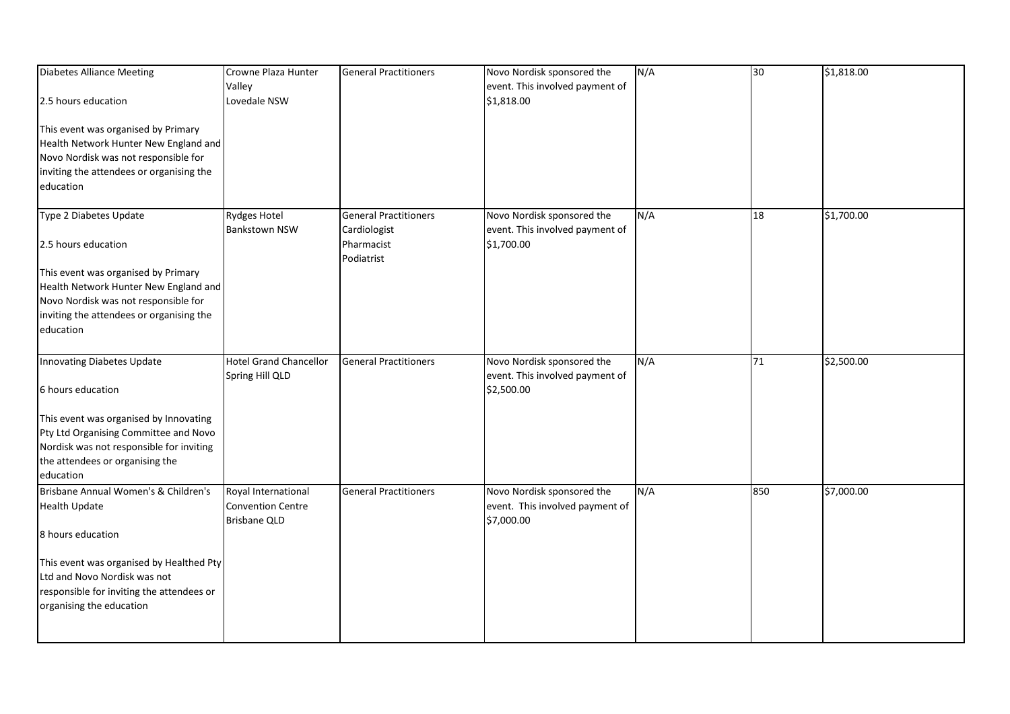| <b>Diabetes Alliance Meeting</b>          | Crowne Plaza Hunter           | <b>General Practitioners</b> | Novo Nordisk sponsored the      | N/A | 30  | \$1,818.00 |
|-------------------------------------------|-------------------------------|------------------------------|---------------------------------|-----|-----|------------|
|                                           | Valley                        |                              | event. This involved payment of |     |     |            |
| 2.5 hours education                       | Lovedale NSW                  |                              | \$1,818.00                      |     |     |            |
|                                           |                               |                              |                                 |     |     |            |
| This event was organised by Primary       |                               |                              |                                 |     |     |            |
| Health Network Hunter New England and     |                               |                              |                                 |     |     |            |
| Novo Nordisk was not responsible for      |                               |                              |                                 |     |     |            |
| inviting the attendees or organising the  |                               |                              |                                 |     |     |            |
| education                                 |                               |                              |                                 |     |     |            |
| Type 2 Diabetes Update                    | <b>Rydges Hotel</b>           | <b>General Practitioners</b> | Novo Nordisk sponsored the      | N/A | 18  | \$1,700.00 |
|                                           | <b>Bankstown NSW</b>          | Cardiologist                 | event. This involved payment of |     |     |            |
| 2.5 hours education                       |                               | Pharmacist                   | \$1,700.00                      |     |     |            |
|                                           |                               | Podiatrist                   |                                 |     |     |            |
| This event was organised by Primary       |                               |                              |                                 |     |     |            |
| Health Network Hunter New England and     |                               |                              |                                 |     |     |            |
| Novo Nordisk was not responsible for      |                               |                              |                                 |     |     |            |
| inviting the attendees or organising the  |                               |                              |                                 |     |     |            |
| education                                 |                               |                              |                                 |     |     |            |
|                                           |                               |                              |                                 |     |     |            |
| Innovating Diabetes Update                | <b>Hotel Grand Chancellor</b> | <b>General Practitioners</b> | Novo Nordisk sponsored the      | N/A | 71  | \$2,500.00 |
|                                           | Spring Hill QLD               |                              | event. This involved payment of |     |     |            |
| 6 hours education                         |                               |                              | \$2,500.00                      |     |     |            |
| This event was organised by Innovating    |                               |                              |                                 |     |     |            |
| Pty Ltd Organising Committee and Novo     |                               |                              |                                 |     |     |            |
| Nordisk was not responsible for inviting  |                               |                              |                                 |     |     |            |
| the attendees or organising the           |                               |                              |                                 |     |     |            |
| education                                 |                               |                              |                                 |     |     |            |
| Brisbane Annual Women's & Children's      | Royal International           | <b>General Practitioners</b> | Novo Nordisk sponsored the      | N/A | 850 | \$7,000.00 |
| <b>Health Update</b>                      | <b>Convention Centre</b>      |                              | event. This involved payment of |     |     |            |
|                                           | <b>Brisbane QLD</b>           |                              | \$7,000.00                      |     |     |            |
| 8 hours education                         |                               |                              |                                 |     |     |            |
| This event was organised by Healthed Pty  |                               |                              |                                 |     |     |            |
| Ltd and Novo Nordisk was not              |                               |                              |                                 |     |     |            |
| responsible for inviting the attendees or |                               |                              |                                 |     |     |            |
| organising the education                  |                               |                              |                                 |     |     |            |
|                                           |                               |                              |                                 |     |     |            |
|                                           |                               |                              |                                 |     |     |            |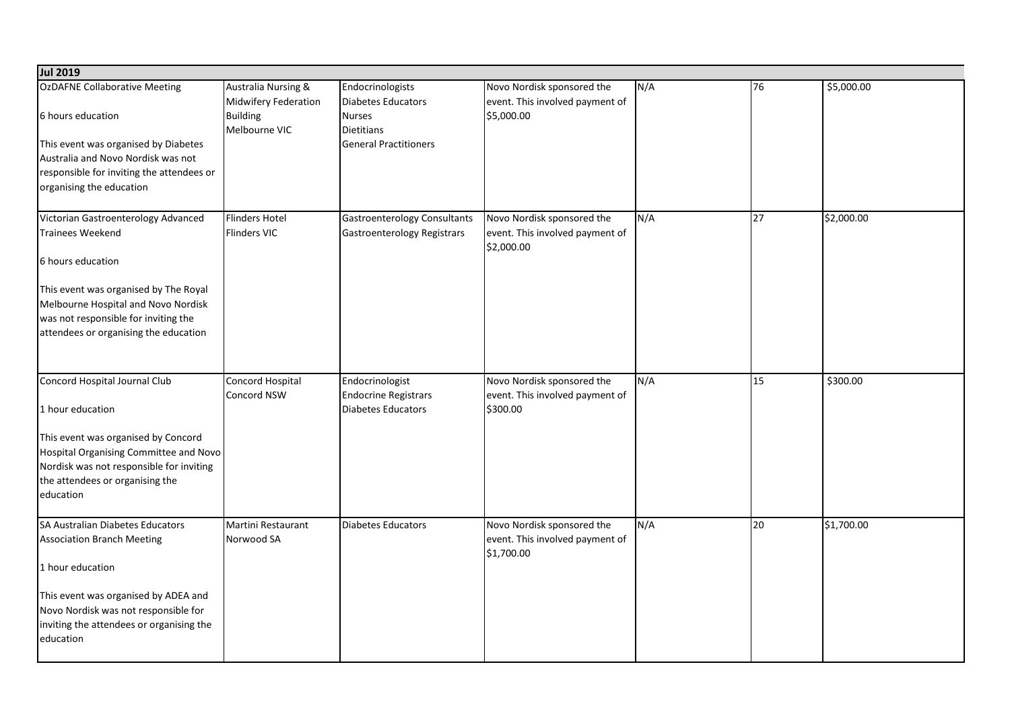| <b>Jul 2019</b>                                                                                                                                                                                                                                      |                                                                                            |                                                                                                              |                                                                             |     |    |            |
|------------------------------------------------------------------------------------------------------------------------------------------------------------------------------------------------------------------------------------------------------|--------------------------------------------------------------------------------------------|--------------------------------------------------------------------------------------------------------------|-----------------------------------------------------------------------------|-----|----|------------|
| OzDAFNE Collaborative Meeting<br>6 hours education<br>This event was organised by Diabetes<br>Australia and Novo Nordisk was not<br>responsible for inviting the attendees or<br>organising the education                                            | <b>Australia Nursing &amp;</b><br>Midwifery Federation<br><b>Building</b><br>Melbourne VIC | Endocrinologists<br>Diabetes Educators<br><b>Nurses</b><br><b>Dietitians</b><br><b>General Practitioners</b> | Novo Nordisk sponsored the<br>event. This involved payment of<br>\$5,000.00 | N/A | 76 | \$5,000.00 |
| Victorian Gastroenterology Advanced<br><b>Trainees Weekend</b><br>6 hours education<br>This event was organised by The Royal<br>Melbourne Hospital and Novo Nordisk<br>was not responsible for inviting the<br>attendees or organising the education | <b>Flinders Hotel</b><br><b>Flinders VIC</b>                                               | <b>Gastroenterology Consultants</b><br><b>Gastroenterology Registrars</b>                                    | Novo Nordisk sponsored the<br>event. This involved payment of<br>\$2,000.00 | N/A | 27 | \$2,000.00 |
| Concord Hospital Journal Club<br>1 hour education<br>This event was organised by Concord<br>Hospital Organising Committee and Novo<br>Nordisk was not responsible for inviting<br>the attendees or organising the<br>education                       | Concord Hospital<br><b>Concord NSW</b>                                                     | Endocrinologist<br><b>Endocrine Registrars</b><br>Diabetes Educators                                         | Novo Nordisk sponsored the<br>event. This involved payment of<br>\$300.00   | N/A | 15 | \$300.00   |
| SA Australian Diabetes Educators<br><b>Association Branch Meeting</b><br>1 hour education<br>This event was organised by ADEA and<br>Novo Nordisk was not responsible for<br>inviting the attendees or organising the<br>education                   | Martini Restaurant<br>Norwood SA                                                           | Diabetes Educators                                                                                           | Novo Nordisk sponsored the<br>event. This involved payment of<br>\$1,700.00 | N/A | 20 | \$1,700.00 |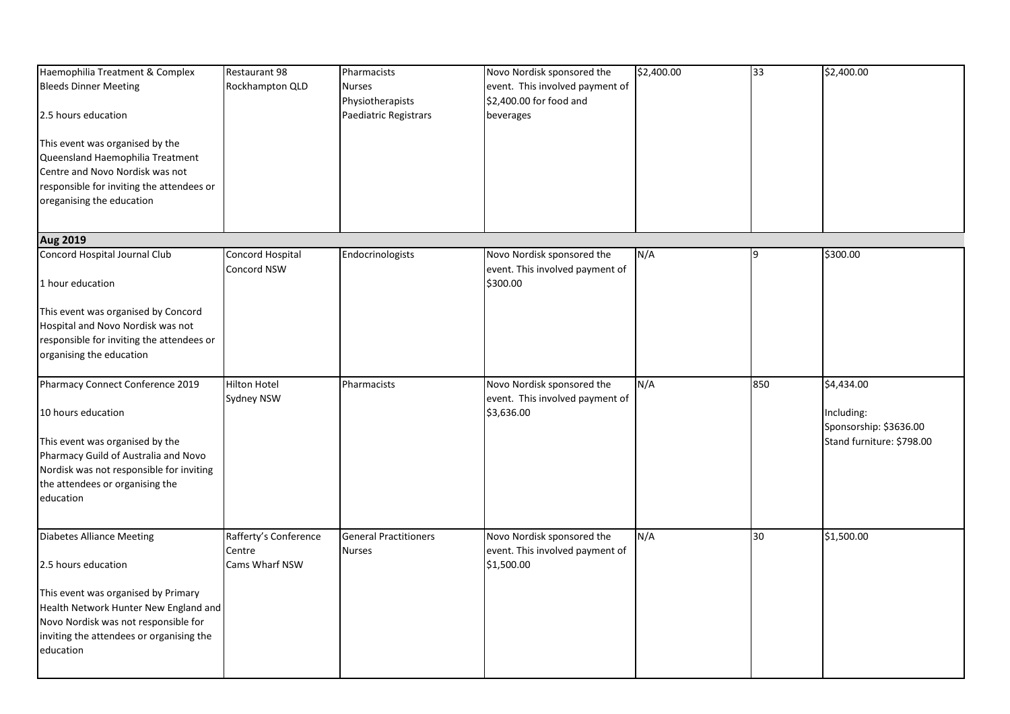| Haemophilia Treatment & Complex<br><b>Bleeds Dinner Meeting</b><br>2.5 hours education<br>This event was organised by the<br>Queensland Haemophilia Treatment<br>Centre and Novo Nordisk was not<br>responsible for inviting the attendees or<br>oreganising the education | Restaurant 98<br>Rockhampton QLD                  | Pharmacists<br><b>Nurses</b><br>Physiotherapists<br>Paediatric Registrars | Novo Nordisk sponsored the<br>event. This involved payment of<br>\$2,400.00 for food and<br>beverages | \$2,400.00 | 33  | \$2,400.00                                                                      |
|----------------------------------------------------------------------------------------------------------------------------------------------------------------------------------------------------------------------------------------------------------------------------|---------------------------------------------------|---------------------------------------------------------------------------|-------------------------------------------------------------------------------------------------------|------------|-----|---------------------------------------------------------------------------------|
| <b>Aug 2019</b>                                                                                                                                                                                                                                                            |                                                   |                                                                           |                                                                                                       |            |     |                                                                                 |
| Concord Hospital Journal Club<br>1 hour education<br>This event was organised by Concord<br>Hospital and Novo Nordisk was not<br>responsible for inviting the attendees or                                                                                                 | Concord Hospital<br>Concord NSW                   | Endocrinologists                                                          | Novo Nordisk sponsored the<br>event. This involved payment of<br>\$300.00                             | N/A        | a   | \$300.00                                                                        |
| organising the education                                                                                                                                                                                                                                                   |                                                   |                                                                           |                                                                                                       |            |     |                                                                                 |
|                                                                                                                                                                                                                                                                            |                                                   |                                                                           |                                                                                                       |            |     |                                                                                 |
| Pharmacy Connect Conference 2019<br>10 hours education<br>This event was organised by the<br>Pharmacy Guild of Australia and Novo<br>Nordisk was not responsible for inviting<br>the attendees or organising the<br>education                                              | Hilton Hotel<br>Sydney NSW                        | Pharmacists                                                               | Novo Nordisk sponsored the<br>event. This involved payment of<br>\$3,636.00                           | N/A        | 850 | \$4,434.00<br>Including:<br>Sponsorship: \$3636.00<br>Stand furniture: \$798.00 |
| <b>Diabetes Alliance Meeting</b><br>2.5 hours education<br>This event was organised by Primary<br>Health Network Hunter New England and<br>Novo Nordisk was not responsible for<br>inviting the attendees or organising the<br>education                                   | Rafferty's Conference<br>Centre<br>Cams Wharf NSW | <b>General Practitioners</b><br>Nurses                                    | Novo Nordisk sponsored the<br>event. This involved payment of<br>\$1,500.00                           | N/A        | 30  | \$1,500.00                                                                      |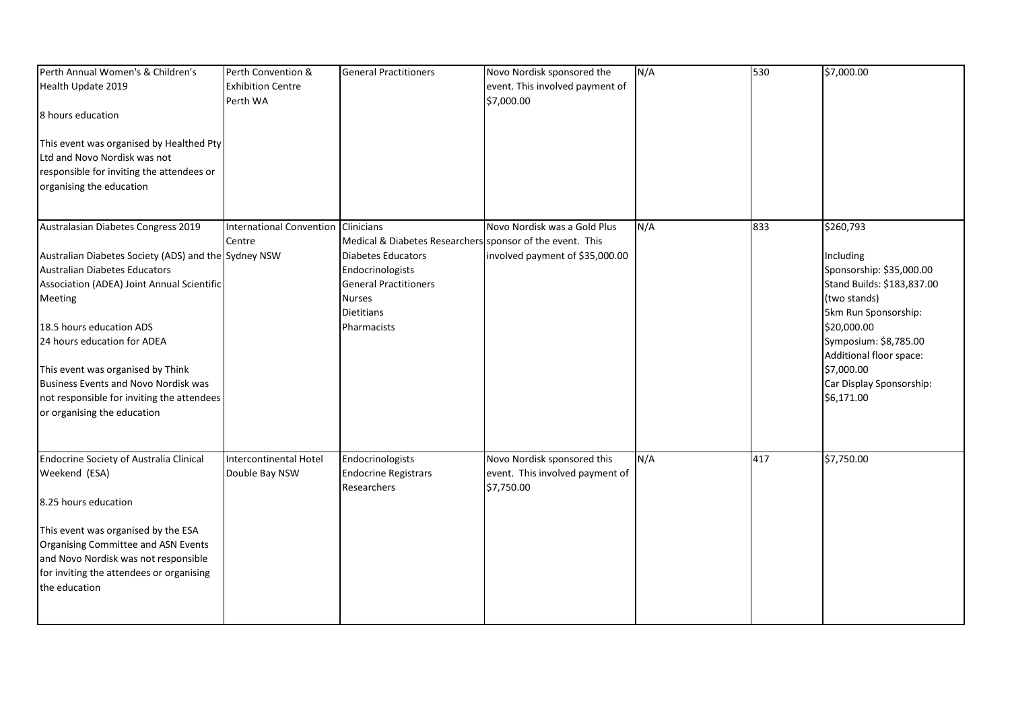| Perth Annual Women's & Children's<br>Health Update 2019<br>8 hours education<br>This event was organised by Healthed Pty<br>Ltd and Novo Nordisk was not<br>responsible for inviting the attendees or<br>organising the education                                                                                                                                                                                 | Perth Convention &<br><b>Exhibition Centre</b><br>Perth WA | <b>General Practitioners</b>                                                                                                                                                             | Novo Nordisk sponsored the<br>event. This involved payment of<br>\$7,000.00  | N/A | 530 | \$7,000.00                                                                                                                                                                                                                                          |
|-------------------------------------------------------------------------------------------------------------------------------------------------------------------------------------------------------------------------------------------------------------------------------------------------------------------------------------------------------------------------------------------------------------------|------------------------------------------------------------|------------------------------------------------------------------------------------------------------------------------------------------------------------------------------------------|------------------------------------------------------------------------------|-----|-----|-----------------------------------------------------------------------------------------------------------------------------------------------------------------------------------------------------------------------------------------------------|
| Australasian Diabetes Congress 2019<br>Australian Diabetes Society (ADS) and the Sydney NSW<br>Australian Diabetes Educators<br>Association (ADEA) Joint Annual Scientific<br><b>Meeting</b><br>18.5 hours education ADS<br>24 hours education for ADEA<br>This event was organised by Think<br>Business Events and Novo Nordisk was<br>not responsible for inviting the attendees<br>or organising the education | <b>International Convention</b><br>Centre                  | Clinicians<br>Medical & Diabetes Researchers sponsor of the event. This<br>Diabetes Educators<br>Endocrinologists<br><b>General Practitioners</b><br>Nurses<br>Dietitians<br>Pharmacists | Novo Nordisk was a Gold Plus<br>involved payment of \$35,000.00              | N/A | 833 | \$260,793<br>Including<br>Sponsorship: \$35,000.00<br>Stand Builds: \$183,837.00<br>(two stands)<br>5km Run Sponsorship:<br>\$20,000.00<br>Symposium: \$8,785.00<br>Additional floor space:<br>\$7,000.00<br>Car Display Sponsorship:<br>\$6,171.00 |
| Endocrine Society of Australia Clinical<br>Weekend (ESA)<br>8.25 hours education<br>This event was organised by the ESA<br>Organising Committee and ASN Events<br>and Novo Nordisk was not responsible<br>for inviting the attendees or organising<br>the education                                                                                                                                               | Intercontinental Hotel<br>Double Bay NSW                   | Endocrinologists<br><b>Endocrine Registrars</b><br>Researchers                                                                                                                           | Novo Nordisk sponsored this<br>event. This involved payment of<br>\$7,750.00 | N/A | 417 | \$7,750.00                                                                                                                                                                                                                                          |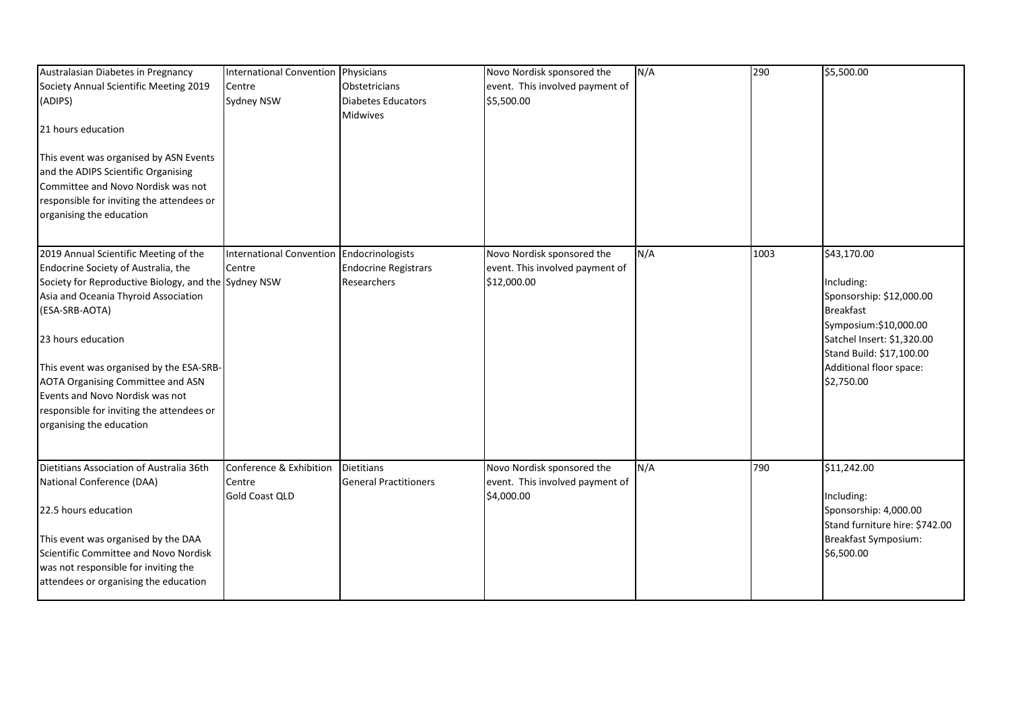| Australasian Diabetes in Pregnancy                                                                                                                                                           | <b>International Convention</b>           | Physicians                                                     | Novo Nordisk sponsored the                                    | N/A | 290  | \$5,500.00                                                                      |
|----------------------------------------------------------------------------------------------------------------------------------------------------------------------------------------------|-------------------------------------------|----------------------------------------------------------------|---------------------------------------------------------------|-----|------|---------------------------------------------------------------------------------|
| Society Annual Scientific Meeting 2019                                                                                                                                                       | Centre                                    | Obstetricians                                                  | event. This involved payment of                               |     |      |                                                                                 |
| (ADIPS)                                                                                                                                                                                      | Sydney NSW                                | <b>Diabetes Educators</b>                                      | \$5,500.00                                                    |     |      |                                                                                 |
|                                                                                                                                                                                              |                                           | <b>Midwives</b>                                                |                                                               |     |      |                                                                                 |
| 21 hours education                                                                                                                                                                           |                                           |                                                                |                                                               |     |      |                                                                                 |
| This event was organised by ASN Events<br>and the ADIPS Scientific Organising<br>Committee and Novo Nordisk was not<br>responsible for inviting the attendees or<br>organising the education |                                           |                                                                |                                                               |     |      |                                                                                 |
| 2019 Annual Scientific Meeting of the<br>Endocrine Society of Australia, the                                                                                                                 | <b>International Convention</b><br>Centre | Endocrinologists<br><b>Endocrine Registrars</b><br>Researchers | Novo Nordisk sponsored the<br>event. This involved payment of | N/A | 1003 | \$43,170.00<br>Including:                                                       |
| Society for Reproductive Biology, and the Sydney NSW<br>Asia and Oceania Thyroid Association<br>(ESA-SRB-AOTA)                                                                               |                                           |                                                                | \$12,000.00                                                   |     |      | Sponsorship: \$12,000.00<br><b>Breakfast</b>                                    |
| 23 hours education                                                                                                                                                                           |                                           |                                                                |                                                               |     |      | Symposium:\$10,000.00<br>Satchel Insert: \$1,320.00<br>Stand Build: \$17,100.00 |
| This event was organised by the ESA-SRB-                                                                                                                                                     |                                           |                                                                |                                                               |     |      | Additional floor space:                                                         |
| <b>AOTA Organising Committee and ASN</b>                                                                                                                                                     |                                           |                                                                |                                                               |     |      | \$2,750.00                                                                      |
| Events and Novo Nordisk was not                                                                                                                                                              |                                           |                                                                |                                                               |     |      |                                                                                 |
| responsible for inviting the attendees or                                                                                                                                                    |                                           |                                                                |                                                               |     |      |                                                                                 |
| organising the education                                                                                                                                                                     |                                           |                                                                |                                                               |     |      |                                                                                 |
| Dietitians Association of Australia 36th                                                                                                                                                     | Conference & Exhibition                   | <b>Dietitians</b>                                              | Novo Nordisk sponsored the                                    | N/A | 790  | \$11,242.00                                                                     |
| National Conference (DAA)                                                                                                                                                                    | Centre                                    | <b>General Practitioners</b>                                   | event. This involved payment of                               |     |      |                                                                                 |
| 22.5 hours education                                                                                                                                                                         | <b>Gold Coast QLD</b>                     |                                                                | \$4,000.00                                                    |     |      | Including:<br>Sponsorship: 4,000.00                                             |
|                                                                                                                                                                                              |                                           |                                                                |                                                               |     |      | Stand furniture hire: \$742.00                                                  |
| This event was organised by the DAA                                                                                                                                                          |                                           |                                                                |                                                               |     |      | Breakfast Symposium:                                                            |
| Scientific Committee and Novo Nordisk                                                                                                                                                        |                                           |                                                                |                                                               |     |      | \$6,500.00                                                                      |
| was not responsible for inviting the                                                                                                                                                         |                                           |                                                                |                                                               |     |      |                                                                                 |
| attendees or organising the education                                                                                                                                                        |                                           |                                                                |                                                               |     |      |                                                                                 |
|                                                                                                                                                                                              |                                           |                                                                |                                                               |     |      |                                                                                 |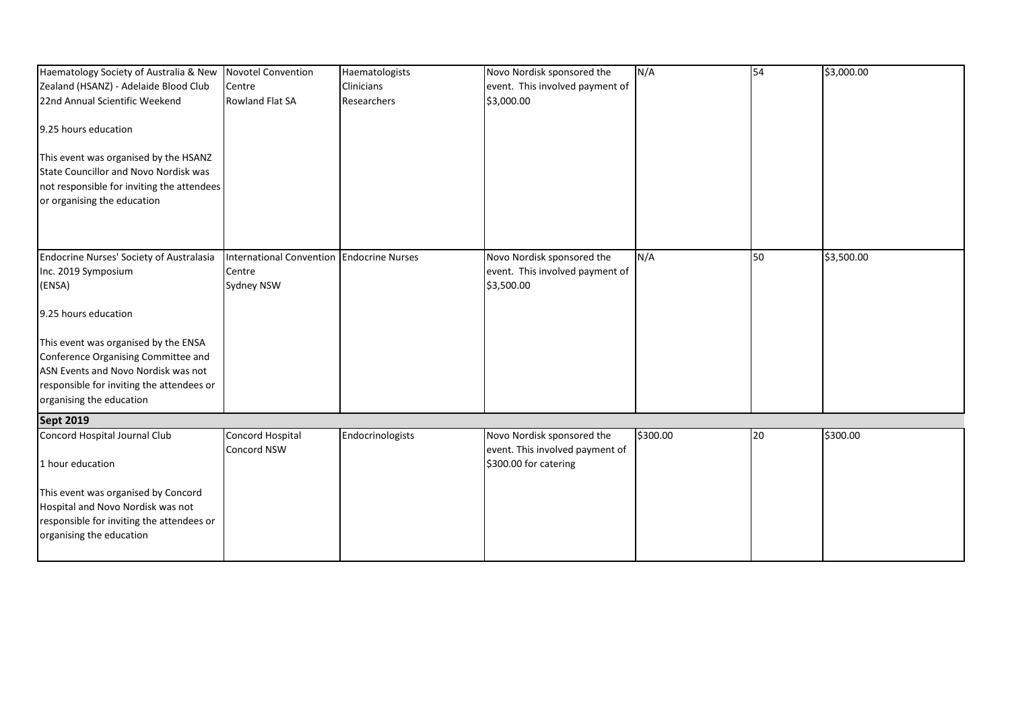| Haematology Society of Australia & New     | <b>Novotel Convention</b>       | Haematologists          | Novo Nordisk sponsored the                               | N/A      | 54 | \$3,000.00 |
|--------------------------------------------|---------------------------------|-------------------------|----------------------------------------------------------|----------|----|------------|
| Zealand (HSANZ) - Adelaide Blood Club      | Centre                          | Clinicians              | event. This involved payment of                          |          |    |            |
| 22nd Annual Scientific Weekend             | <b>Rowland Flat SA</b>          | Researchers             | \$3,000.00                                               |          |    |            |
|                                            |                                 |                         |                                                          |          |    |            |
| 9.25 hours education                       |                                 |                         |                                                          |          |    |            |
|                                            |                                 |                         |                                                          |          |    |            |
| This event was organised by the HSANZ      |                                 |                         |                                                          |          |    |            |
| State Councillor and Novo Nordisk was      |                                 |                         |                                                          |          |    |            |
| not responsible for inviting the attendees |                                 |                         |                                                          |          |    |            |
| or organising the education                |                                 |                         |                                                          |          |    |            |
|                                            |                                 |                         |                                                          |          |    |            |
|                                            |                                 |                         |                                                          |          |    |            |
| Endocrine Nurses' Society of Australasia   | <b>International Convention</b> | <b>Endocrine Nurses</b> | Novo Nordisk sponsored the                               | N/A      | 50 | \$3,500.00 |
| Inc. 2019 Symposium                        | Centre                          |                         | event. This involved payment of                          |          |    |            |
| (ENSA)                                     | Sydney NSW                      |                         | \$3,500.00                                               |          |    |            |
|                                            |                                 |                         |                                                          |          |    |            |
| 9.25 hours education                       |                                 |                         |                                                          |          |    |            |
| This event was organised by the ENSA       |                                 |                         |                                                          |          |    |            |
| Conference Organising Committee and        |                                 |                         |                                                          |          |    |            |
| ASN Events and Novo Nordisk was not        |                                 |                         |                                                          |          |    |            |
| responsible for inviting the attendees or  |                                 |                         |                                                          |          |    |            |
| organising the education                   |                                 |                         |                                                          |          |    |            |
|                                            |                                 |                         |                                                          |          |    |            |
| <b>Sept 2019</b>                           |                                 |                         |                                                          |          |    |            |
| Concord Hospital Journal Club              | Concord Hospital<br>Concord NSW | Endocrinologists        | Novo Nordisk sponsored the                               | \$300.00 | 20 | \$300.00   |
| 1 hour education                           |                                 |                         | event. This involved payment of<br>\$300.00 for catering |          |    |            |
|                                            |                                 |                         |                                                          |          |    |            |
| This event was organised by Concord        |                                 |                         |                                                          |          |    |            |
| Hospital and Novo Nordisk was not          |                                 |                         |                                                          |          |    |            |
| responsible for inviting the attendees or  |                                 |                         |                                                          |          |    |            |
| organising the education                   |                                 |                         |                                                          |          |    |            |
|                                            |                                 |                         |                                                          |          |    |            |
|                                            |                                 |                         |                                                          |          |    |            |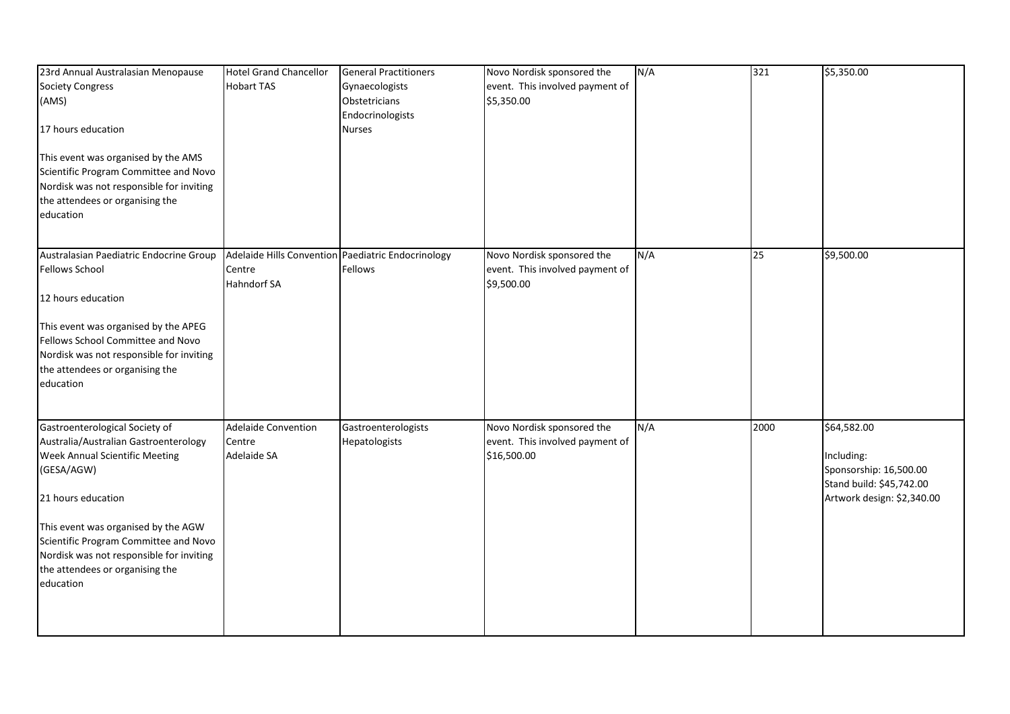| 23rd Annual Australasian Menopause<br><b>Society Congress</b><br>(AMS)<br>17 hours education<br>This event was organised by the AMS<br>Scientific Program Committee and Novo<br>Nordisk was not responsible for inviting<br>the attendees or organising the<br>education                                                  | <b>Hotel Grand Chancellor</b><br><b>Hobart TAS</b>                                 | <b>General Practitioners</b><br>Gynaecologists<br>Obstetricians<br>Endocrinologists<br><b>Nurses</b> | Novo Nordisk sponsored the<br>event. This involved payment of<br>\$5,350.00  | N/A | 321  | \$5,350.00                                                                                                    |
|---------------------------------------------------------------------------------------------------------------------------------------------------------------------------------------------------------------------------------------------------------------------------------------------------------------------------|------------------------------------------------------------------------------------|------------------------------------------------------------------------------------------------------|------------------------------------------------------------------------------|-----|------|---------------------------------------------------------------------------------------------------------------|
| Australasian Paediatric Endocrine Group<br><b>Fellows School</b><br>12 hours education<br>This event was organised by the APEG<br>Fellows School Committee and Novo<br>Nordisk was not responsible for inviting<br>the attendees or organising the<br>education                                                           | Adelaide Hills Convention Paediatric Endocrinology<br>Centre<br><b>Hahndorf SA</b> | Fellows                                                                                              | Novo Nordisk sponsored the<br>event. This involved payment of<br>\$9,500.00  | N/A | 25   | \$9,500.00                                                                                                    |
| Gastroenterological Society of<br>Australia/Australian Gastroenterology<br>Week Annual Scientific Meeting<br>(GESA/AGW)<br>21 hours education<br>This event was organised by the AGW<br>Scientific Program Committee and Novo<br>Nordisk was not responsible for inviting<br>the attendees or organising the<br>education | <b>Adelaide Convention</b><br>Centre<br>Adelaide SA                                | Gastroenterologists<br>Hepatologists                                                                 | Novo Nordisk sponsored the<br>event. This involved payment of<br>\$16,500.00 | N/A | 2000 | \$64,582.00<br>Including:<br>Sponsorship: 16,500.00<br>Stand build: \$45,742.00<br>Artwork design: \$2,340.00 |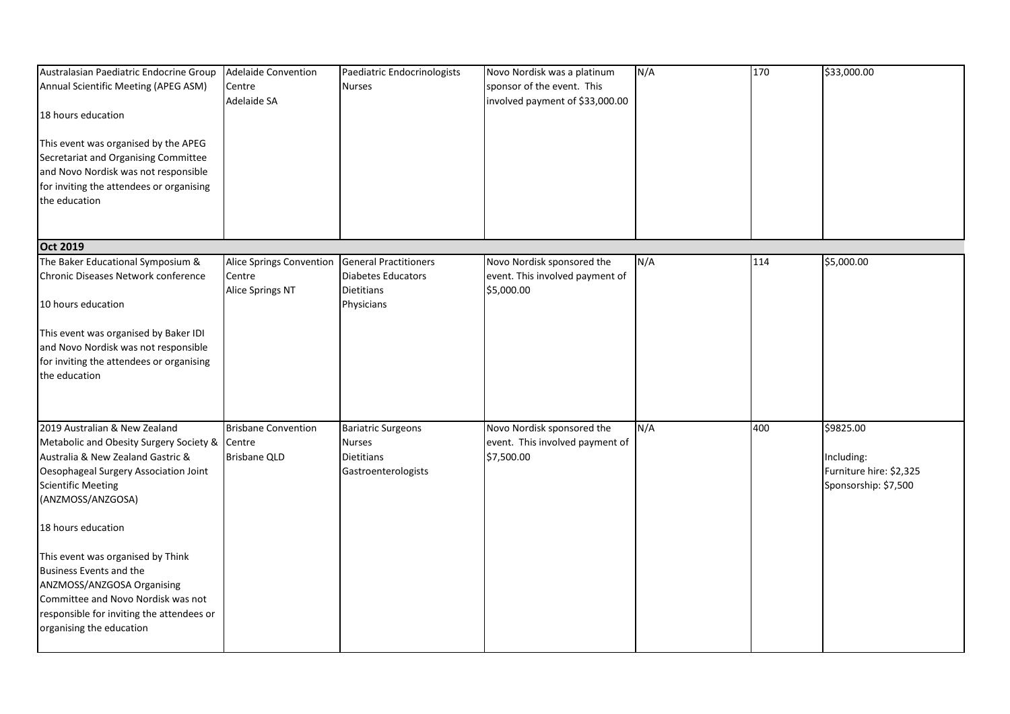| Australasian Paediatric Endocrine Group<br>Annual Scientific Meeting (APEG ASM)<br>18 hours education<br>This event was organised by the APEG<br>Secretariat and Organising Committee<br>and Novo Nordisk was not responsible<br>for inviting the attendees or organising<br>the education                                                                                                                                                         | <b>Adelaide Convention</b><br>Centre<br>Adelaide SA           | Paediatric Endocrinologists<br><b>Nurses</b>                                                 | Novo Nordisk was a platinum<br>sponsor of the event. This<br>involved payment of \$33,000.00 | N/A | 170 | \$33,000.00                                                                |
|----------------------------------------------------------------------------------------------------------------------------------------------------------------------------------------------------------------------------------------------------------------------------------------------------------------------------------------------------------------------------------------------------------------------------------------------------|---------------------------------------------------------------|----------------------------------------------------------------------------------------------|----------------------------------------------------------------------------------------------|-----|-----|----------------------------------------------------------------------------|
| <b>Oct 2019</b>                                                                                                                                                                                                                                                                                                                                                                                                                                    |                                                               |                                                                                              |                                                                                              |     |     |                                                                            |
| The Baker Educational Symposium &<br>Chronic Diseases Network conference<br>10 hours education<br>This event was organised by Baker IDI<br>and Novo Nordisk was not responsible<br>for inviting the attendees or organising<br>the education                                                                                                                                                                                                       | <b>Alice Springs Convention</b><br>Centre<br>Alice Springs NT | <b>General Practitioners</b><br><b>Diabetes Educators</b><br><b>Dietitians</b><br>Physicians | Novo Nordisk sponsored the<br>event. This involved payment of<br>\$5,000.00                  | N/A | 114 | \$5,000.00                                                                 |
| 2019 Australian & New Zealand<br>Metabolic and Obesity Surgery Society &<br>Australia & New Zealand Gastric &<br>Oesophageal Surgery Association Joint<br><b>Scientific Meeting</b><br>(ANZMOSS/ANZGOSA)<br>18 hours education<br>This event was organised by Think<br><b>Business Events and the</b><br>ANZMOSS/ANZGOSA Organising<br>Committee and Novo Nordisk was not<br>responsible for inviting the attendees or<br>organising the education | <b>Brisbane Convention</b><br>Centre<br><b>Brisbane QLD</b>   | <b>Bariatric Surgeons</b><br><b>Nurses</b><br><b>Dietitians</b><br>Gastroenterologists       | Novo Nordisk sponsored the<br>event. This involved payment of<br>\$7,500.00                  | N/A | 400 | \$9825.00<br>Including:<br>Furniture hire: \$2,325<br>Sponsorship: \$7,500 |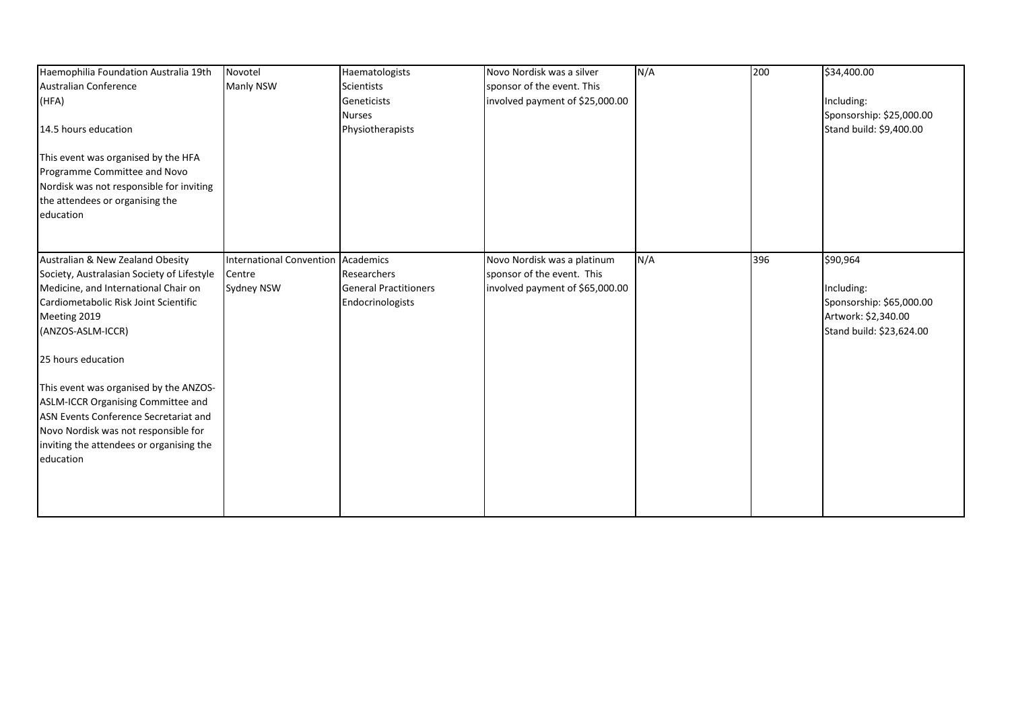| Haemophilia Foundation Australia 19th                                                                                                                           | Novotel                         | Haematologists               | Novo Nordisk was a silver       | N/A | 200 | \$34,400.00              |
|-----------------------------------------------------------------------------------------------------------------------------------------------------------------|---------------------------------|------------------------------|---------------------------------|-----|-----|--------------------------|
| <b>Australian Conference</b>                                                                                                                                    | Manly NSW                       | <b>Scientists</b>            | sponsor of the event. This      |     |     |                          |
| (HFA)                                                                                                                                                           |                                 | Geneticists                  | involved payment of \$25,000.00 |     |     | Including:               |
|                                                                                                                                                                 |                                 | <b>Nurses</b>                |                                 |     |     | Sponsorship: \$25,000.00 |
| 14.5 hours education                                                                                                                                            |                                 | Physiotherapists             |                                 |     |     | Stand build: \$9,400.00  |
| This event was organised by the HFA<br>Programme Committee and Novo<br>Nordisk was not responsible for inviting<br>the attendees or organising the<br>education |                                 |                              |                                 |     |     |                          |
| Australian & New Zealand Obesity                                                                                                                                | <b>International Convention</b> | Academics                    | Novo Nordisk was a platinum     | N/A | 396 | \$90,964                 |
| Society, Australasian Society of Lifestyle                                                                                                                      | Centre                          | Researchers                  | sponsor of the event. This      |     |     |                          |
| Medicine, and International Chair on                                                                                                                            | Sydney NSW                      | <b>General Practitioners</b> | involved payment of \$65,000.00 |     |     | Including:               |
| Cardiometabolic Risk Joint Scientific                                                                                                                           |                                 | Endocrinologists             |                                 |     |     | Sponsorship: \$65,000.00 |
| Meeting 2019                                                                                                                                                    |                                 |                              |                                 |     |     | Artwork: \$2,340.00      |
| (ANZOS-ASLM-ICCR)                                                                                                                                               |                                 |                              |                                 |     |     | Stand build: \$23,624.00 |
| 25 hours education                                                                                                                                              |                                 |                              |                                 |     |     |                          |
| This event was organised by the ANZOS-                                                                                                                          |                                 |                              |                                 |     |     |                          |
| ASLM-ICCR Organising Committee and                                                                                                                              |                                 |                              |                                 |     |     |                          |
| ASN Events Conference Secretariat and                                                                                                                           |                                 |                              |                                 |     |     |                          |
| Novo Nordisk was not responsible for                                                                                                                            |                                 |                              |                                 |     |     |                          |
| inviting the attendees or organising the                                                                                                                        |                                 |                              |                                 |     |     |                          |
| education                                                                                                                                                       |                                 |                              |                                 |     |     |                          |
|                                                                                                                                                                 |                                 |                              |                                 |     |     |                          |
|                                                                                                                                                                 |                                 |                              |                                 |     |     |                          |
|                                                                                                                                                                 |                                 |                              |                                 |     |     |                          |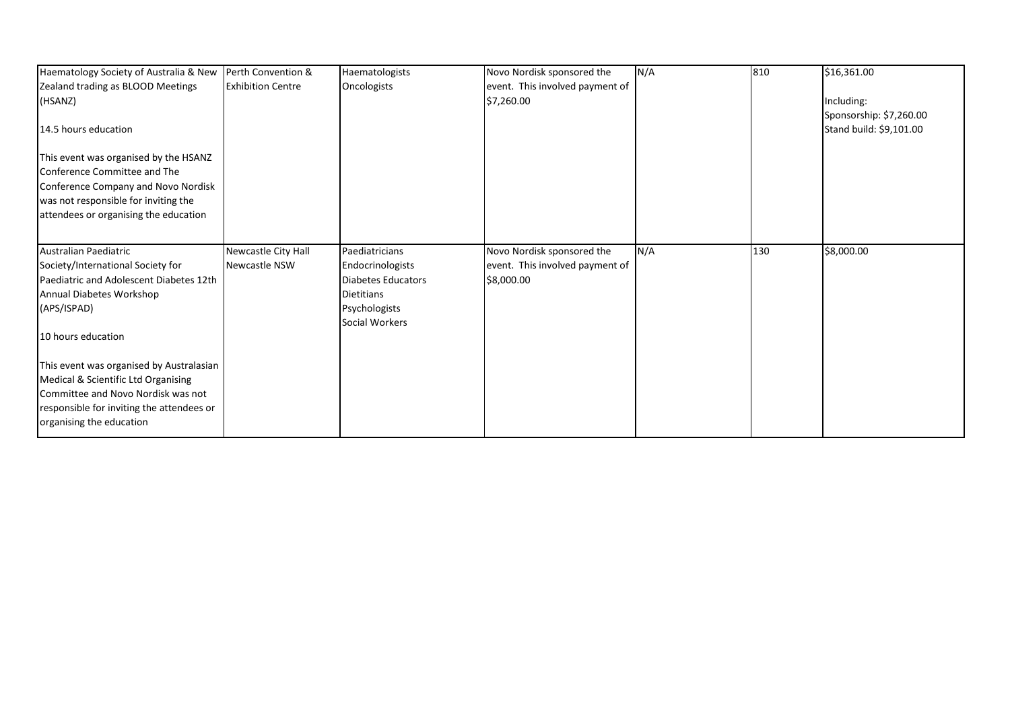| Haematology Society of Australia & New Perth Convention & |                          | Haematologists                         | Novo Nordisk sponsored the      | N/A | 810 | \$16,361.00             |
|-----------------------------------------------------------|--------------------------|----------------------------------------|---------------------------------|-----|-----|-------------------------|
| Zealand trading as BLOOD Meetings                         | <b>Exhibition Centre</b> | Oncologists                            | event. This involved payment of |     |     |                         |
| (HSANZ)                                                   |                          |                                        | \$7,260.00                      |     |     | Including:              |
|                                                           |                          |                                        |                                 |     |     | Sponsorship: \$7,260.00 |
| 14.5 hours education                                      |                          |                                        |                                 |     |     | Stand build: \$9,101.00 |
| This event was organised by the HSANZ                     |                          |                                        |                                 |     |     |                         |
| Conference Committee and The                              |                          |                                        |                                 |     |     |                         |
| Conference Company and Novo Nordisk                       |                          |                                        |                                 |     |     |                         |
| was not responsible for inviting the                      |                          |                                        |                                 |     |     |                         |
| attendees or organising the education                     |                          |                                        |                                 |     |     |                         |
| Australian Paediatric                                     | Newcastle City Hall      | Paediatricians                         | Novo Nordisk sponsored the      | N/A | 130 | \$8,000.00              |
| Society/International Society for                         | <b>Newcastle NSW</b>     | Endocrinologists                       | event. This involved payment of |     |     |                         |
| Paediatric and Adolescent Diabetes 12th                   |                          | <b>Diabetes Educators</b>              | \$8,000.00                      |     |     |                         |
| Annual Diabetes Workshop                                  |                          | <b>Dietitians</b>                      |                                 |     |     |                         |
| (APS/ISPAD)                                               |                          | Psychologists<br><b>Social Workers</b> |                                 |     |     |                         |
| 10 hours education                                        |                          |                                        |                                 |     |     |                         |
| This event was organised by Australasian                  |                          |                                        |                                 |     |     |                         |
| Medical & Scientific Ltd Organising                       |                          |                                        |                                 |     |     |                         |
| Committee and Novo Nordisk was not                        |                          |                                        |                                 |     |     |                         |
| responsible for inviting the attendees or                 |                          |                                        |                                 |     |     |                         |
| organising the education                                  |                          |                                        |                                 |     |     |                         |